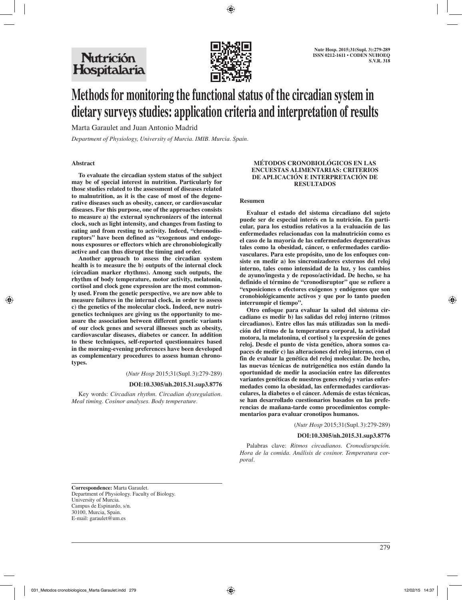# Nutrición Hospitalaria



# **Methods for monitoring the functional status of the circadian system in dietary surveys studies: application criteria and interpretation of results**

Marta Garaulet and Juan Antonio Madrid

*Department of Physiology, University of Murcia. IMIB. Murcia. Spain.*

## **Abstract**

**To evaluate the circadian system status of the subject may be of special interest in nutrition. Particularly for those studies related to the assessment of diseases related to malnutrition, as it is the case of most of the degenerative diseases such as obesity, cancer, or cardiovascular diseases. For this purpose, one of the approaches consists to measure a) the external synchronizers of the internal clock, such as light intensity, and changes from fasting to eating and from resting to activity. Indeed, "chronodisruptors" have been defined as "exogenous and endogenous exposures or effectors which are chronobiologically active and can thus disrupt the timing and order.**

**Another approach to assess the circadian system health is to measure the b) outputs of the internal clock (circadian marker rhythms). Among such outputs, the rhythm of body temperature, motor activity, melatonin, cortisol and clock gene expression are the most commonly used. From the genetic perspective, we are now able to measure failures in the internal clock, in order to assess c) the genetics of the molecular clock. Indeed, new nutrigenetics techniques are giving us the opportunity to measure the association between different genetic variants of our clock genes and several illnesses such as obesity, cardiovascular diseases, diabetes or cancer. In addition to these techniques, self-reported questionnaires based in the morning-evening preferences have been developed as complementary procedures to assess human chronotypes.**

(*Nutr Hosp* 2015;31(Supl.3):279-289)

#### **DOI:10.3305/nh.2015.31.sup3.8776**

Key words: *Circadian rhythm. Circadian dysregulation. Meal timing. Cosinor analyses. Body temperature.*

#### **MÉTODOS CRONOBIOLÓGICOS EN LAS ENCUESTAS ALIMENTARIAS: CRITERIOS DE APLICACIÓN E INTERPRETACIÓN DE RESULTADOS**

#### **Resumen**

**Evaluar el estado del sistema circadiano del sujeto puede ser de especial interés en la nutrición. En particular, para los estudios relativos a la evaluación de las enfermedades relacionadas con la malnutrición como es el caso de la mayoría de las enfermedades degenerativas tales como la obesidad, cáncer, o enfermedades cardiovasculares. Para este propósito, uno de los enfoques consiste en medir a) los sincronizadores externos del reloj interno, tales como intensidad de la luz, y los cambios de ayuno/ingesta y de reposo/actividad. De hecho, se ha definido el término de "cronodisruptor" que se refiere a "exposiciones o efectores exógenos y endógenos que son cronobiológicamente activos y que por lo tanto pueden interrumpir el tiempo".** 

**Otro enfoque para evaluar la salud del sistema circadiano es medir b) las salidas del reloj interno (ritmos circadianos). Entre ellos las más utilizadas son la medición del ritmo de la temperatura corporal, la actividad motora, la melatonina, el cortisol y la expresión de genes reloj. Desde el punto de vista genético, ahora somos capaces de medir c) las alteraciones del reloj interno, con el fin de evaluar la genética del reloj molecular. De hecho, las nuevas técnicas de nutrigenética nos están dando la oportunidad de medir la asociación entre las diferentes variantes genéticas de nuestros genes reloj y varias enfermedades como la obesidad, las enfermedades cardiovasculares, la diabetes o el cáncer. Además de estas técnicas, se han desarrollado cuestionarios basados en las preferencias de mañana-tarde como procedimientos complementarios para evaluar cronotipos humanos.**

(*Nutr Hosp* 2015;31(Supl.3):279-289)

#### **DOI:10.3305/nh.2015.31.sup3.8776**

Palabras clave: *Ritmos circadianos. Cronodisrupción. Hora de la comida. Análisis de cosinor. Temperatura corporal.*

**Correspondence:** Marta Garaulet. Department of Physiology. Faculty of Biology. University of Murcia. Campus de Espinardo, s/n. 30100, Murcia, Spain. E-mail: garaulet@um.es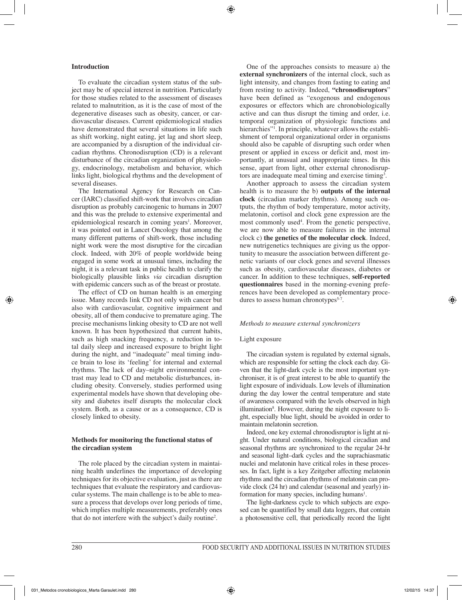# **Introduction**

To evaluate the circadian system status of the subject may be of special interest in nutrition. Particularly for those studies related to the assessment of diseases related to malnutrition, as it is the case of most of the degenerative diseases such as obesity, cancer, or cardiovascular diseases. Current epidemiological studies have demonstrated that several situations in life such as shift working, night eating, jet lag and short sleep, are accompanied by a disruption of the individual circadian rhythms. Chronodisruption (CD) is a relevant disturbance of the circadian organization of physiology, endocrinology, metabolism and behavior, which links light, biological rhythms and the development of several diseases.

The International Agency for Research on Cancer (IARC) classified shift-work that involves circadian disruption as probably carcinogenic to humans in 2007 and this was the prelude to extensive experimental and epidemiological research in coming years<sup>1</sup>. Moreover, it was pointed out in Lancet Oncology that among the many different patterns of shift-work, those including night work were the most disruptive for the circadian clock. Indeed, with 20% of people worldwide being engaged in some work at unusual times, including the night, it is a relevant task in public health to clarify the biologically plausible links *via* circadian disruption with epidemic cancers such as of the breast or prostate.

The effect of CD on human health is an emerging issue. Many records link CD not only with cancer but also with cardiovascular, cognitive impairment and obesity, all of them conducive to premature aging. The precise mechanisms linking obesity to CD are not well known. It has been hypothesized that current habits, such as high snacking frequency, a reduction in total daily sleep and increased exposure to bright light during the night, and "inadequate" meal timing induce brain to lose its 'feeling' for internal and external rhythms. The lack of day–night environmental contrast may lead to CD and metabolic disturbances, including obesity. Conversely, studies performed using experimental models have shown that developing obesity and diabetes itself disrupts the molecular clock system. Both, as a cause or as a consequence, CD is closely linked to obesity.

# **Methods for monitoring the functional status of the circadian system**

The role placed by the circadian system in maintaining health underlines the importance of developing techniques for its objective evaluation, just as there are techniques that evaluate the respiratory and cardiovascular systems. The main challenge is to be able to measure a process that develops over long periods of time, which implies multiple measurements, preferably ones that do not interfere with the subject's daily routine2 .

One of the approaches consists to measure a) the **external synchronizers** of the internal clock, such as light intensity, and changes from fasting to eating and from resting to activity. Indeed, **"chronodisruptors**" have been defined as "exogenous and endogenous exposures or effectors which are chronobiologically active and can thus disrupt the timing and order, i.e. temporal organization of physiologic functions and hierarchies"<sup>1</sup>. In principle, whatever allows the establishment of temporal organizational order in organisms should also be capable of disrupting such order when present or applied in excess or deficit and, most importantly, at unusual and inappropriate times. In this sense, apart from light, other external chronodisruptors are inadequate meal timing and exercise timing<sup>3</sup>.

Another approach to assess the circadian system health is to measure the b) **outputs of the internal clock** (circadian marker rhythms). Among such outputs, the rhythm of body temperature, motor activity, melatonin, cortisol and clock gene expression are the most commonly used<sup>4</sup>. From the genetic perspective, we are now able to measure failures in the internal clock c) **the genetics of the molecular clock**. Indeed, new nutrigenetics techniques are giving us the opportunity to measure the association between different genetic variants of our clock genes and several illnesses such as obesity, cardiovascular diseases, diabetes or cancer. In addition to these techniques, **self-reported questionnaires** based in the morning-evening preferences have been developed as complementary procedures to assess human chronotypes<sup> $5-7$ </sup>.

#### *Methods to measure external synchronizers*

#### Light exposure

The circadian system is regulated by external signals, which are responsible for setting the clock each day. Given that the light-dark cycle is the most important synchroniser, it is of great interest to be able to quantify the light exposure of individuals. Low levels of illumination during the day lower the central temperature and state of awareness compared with the levels observed in high illumination<sup>8</sup>. However, during the night exposure to light, especially blue light, should be avoided in order to maintain melatonin secretion.

Indeed, one key external chronodisruptor is light at night. Under natural conditions, biological circadian and seasonal rhythms are synchronized to the regular 24-hr and seasonal light–dark cycles and the suprachiasmatic nuclei and melatonin have critical roles in these processes. In fact, light is a key Zeitgeber affecting melatonin rhythms and the circadian rhythms of melatonin can provide clock (24 hr) and calendar (seasonal and yearly) information for many species, including humans<sup>1</sup>.

The light-darkness cycle to which subjects are exposed can be quantified by small data loggers, that contain a photosensitive cell, that periodically record the light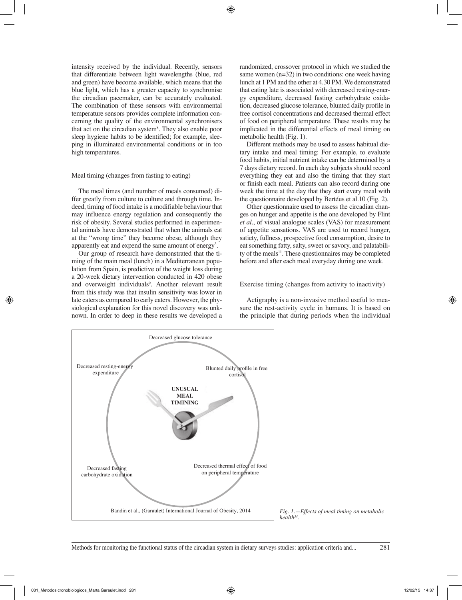intensity received by the individual. Recently, sensors that differentiate between light wavelengths (blue, red and green) have become available, which means that the blue light, which has a greater capacity to synchronise the circadian pacemaker, can be accurately evaluated. The combination of these sensors with environmental temperature sensors provides complete information concerning the quality of the environmental synchronisers that act on the circadian system<sup>8</sup>. They also enable poor sleep hygiene habits to be identified; for example, sleeping in illuminated environmental conditions or in too high temperatures.

#### Meal timing (changes from fasting to eating)

The meal times (and number of meals consumed) differ greatly from culture to culture and through time. Indeed, timing of food intake is a modifiable behaviour that may influence energy regulation and consequently the risk of obesity. Several studies performed in experimental animals have demonstrated that when the animals eat at the "wrong time" they become obese, although they apparently eat and expend the same amount of energy<sup>3</sup>.

Our group of research have demonstrated that the timing of the main meal (lunch) in a Mediterranean population from Spain, is predictive of the weight loss during a 20-week dietary intervention conducted in 420 obese and overweight individuals<sup>9</sup>. Another relevant result from this study was that insulin sensitivity was lower in late eaters as compared to early eaters. However, the physiological explanation for this novel discovery was unknown. In order to deep in these results we developed a

randomized, crossover protocol in which we studied the same women (n=32) in two conditions: one week having lunch at 1 PM and the other at 4.30 PM. We demonstrated that eating late is associated with decreased resting-energy expenditure, decreased fasting carbohydrate oxidation, decreased glucose tolerance, blunted daily profile in free cortisol concentrations and decreased thermal effect of food on peripheral temperature. These results may be implicated in the differential effects of meal timing on metabolic health (Fig. 1).

Different methods may be used to assess habitual dietary intake and meal timing: For example, to evaluate food habits, initial nutrient intake can be determined by a 7 days dietary record. In each day subjects should record everything they eat and also the timing that they start or finish each meal. Patients can also record during one week the time at the day that they start every meal with the questionnaire developed by Bertéus et al.10 (Fig. 2).

Other questionnaire used to assess the circadian changes on hunger and appetite is the one developed by Flint *et al*., of visual analogue scales (VAS) for measurement of appetite sensations. VAS are used to record hunger, satiety, fullness, prospective food consumption, desire to eat something fatty, salty, sweet or savory, and palatability of the meals<sup>11</sup>. These questionnaires may be completed before and after each meal everyday during one week.

## Exercise timing (changes from activity to inactivity)

Actigraphy is a non-invasive method useful to measure the rest-activity cycle in humans. It is based on the principle that during periods when the individual



*Fig. 1.—Effects of meal timing on metabolic health34.*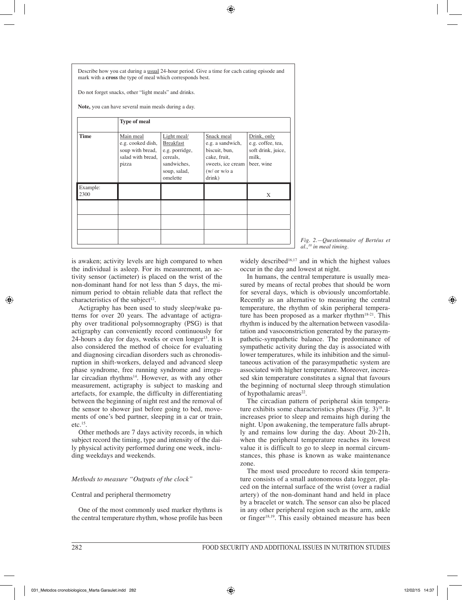Describe how you cat during a usual 24-hour period. Give a time for cach cating episode and mark with a **cross** the type of meal which corresponds best.

Do not forget snacks, other "light meals" and drinks.

**Note,** you can have several main meals during a day.

|                  | <b>Type of meal</b>                                                              |                                                                                                          |                                                                                                                |                                                                               |
|------------------|----------------------------------------------------------------------------------|----------------------------------------------------------------------------------------------------------|----------------------------------------------------------------------------------------------------------------|-------------------------------------------------------------------------------|
| <b>Time</b>      | Main meal<br>e.g. cooked dish,<br>soup with bread,<br>salad with bread,<br>pizza | Light meal/<br><b>Breakfast</b><br>e.g. porridge,<br>cereals,<br>sandwiches,<br>soup, salad,<br>omelette | Snack meal<br>e.g. a sandwich,<br>biscuit, bun,<br>cake, fruit,<br>sweets, ice cream<br>(w/ or w/o a<br>drink) | Drink, only<br>e.g. coffee, tea,<br>soft drink, juice,<br>milk,<br>beer, wine |
| Example:<br>2300 |                                                                                  |                                                                                                          |                                                                                                                | X                                                                             |
|                  |                                                                                  |                                                                                                          |                                                                                                                |                                                                               |
|                  |                                                                                  |                                                                                                          |                                                                                                                |                                                                               |
|                  |                                                                                  |                                                                                                          |                                                                                                                |                                                                               |

*Fig. 2.—Questionnaire of Bertéus et al.,10 in meal timing.*

is awaken; activity levels are high compared to when the individual is asleep. For its measurement, an activity sensor (actimeter) is placed on the wrist of the non-dominant hand for not less than 5 days, the minimum period to obtain reliable data that reflect the characteristics of the subject<sup>12</sup>.

Actigraphy has been used to study sleep/wake patterns for over 20 years. The advantage of actigraphy over traditional polysomnography (PSG) is that actigraphy can conveniently record continuously for 24-hours a day for days, weeks or even longer $13$ . It is also considered the method of choice for evaluating and diagnosing circadian disorders such as chronodisruption in shift-workers, delayed and advanced sleep phase syndrome, free running syndrome and irregular circadian rhythms $14$ . However, as with any other measurement, actigraphy is subject to masking and artefacts, for example, the difficulty in differentiating between the beginning of night rest and the removal of the sensor to shower just before going to bed, movements of one's bed partner, sleeping in a car or train,  $etc.$ <sup>15</sup>.

Other methods are 7 days activity records, in which subject record the timing, type and intensity of the daily physical activity performed during one week, including weekdays and weekends.

# *Methods to measure "Outputs of the clock"*

# Central and peripheral thermometry

One of the most commonly used marker rhythms is the central temperature rhythm, whose profile has been widely described<sup>16,17</sup> and in which the highest values occur in the day and lowest at night.

In humans, the central temperature is usually measured by means of rectal probes that should be worn for several days, which is obviously uncomfortable. Recently as an alternative to measuring the central temperature, the rhythm of skin peripheral temperature has been proposed as a marker rhythm $18-21$ . This rhythm is induced by the alternation between vasodilatation and vasoconstriction generated by the parasympathetic-sympathetic balance. The predominance of sympathetic activity during the day is associated with lower temperatures, while its inhibition and the simultaneous activation of the parasympathetic system are associated with higher temperature. Moreover, increased skin temperature constitutes a signal that favours the beginning of nocturnal sleep through stimulation of hypothalamic areas<sup>22</sup>.

The circadian pattern of peripheral skin temperature exhibits some characteristics phases (Fig.  $3$ )<sup>18</sup>. It increases prior to sleep and remains high during the night. Upon awakening, the temperature falls abruptly and remains low during the day. About 20-21h, when the peripheral temperature reaches its lowest value it is difficult to go to sleep in normal circumstances, this phase is known as wake maintenance zone.

The most used procedure to record skin temperature consists of a small autonomous data logger, placed on the internal surface of the wrist (over a radial artery) of the non-dominant hand and held in place by a bracelet or watch. The sensor can also be placed in any other peripheral region such as the arm, ankle or finger<sup>18,19</sup>. This easily obtained measure has been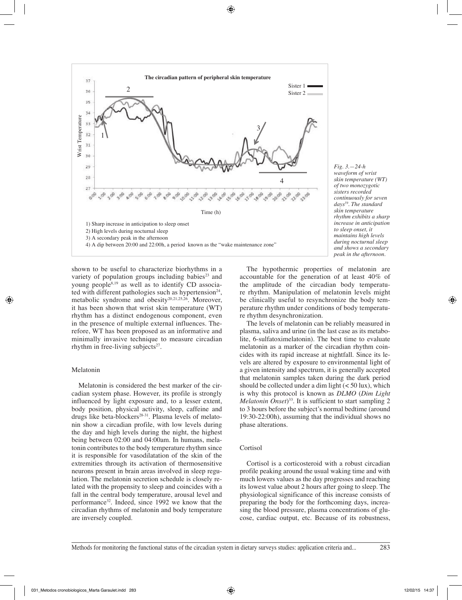

*Fig. 3.—24-h waveform of wrist skin temperature (WT) of two monozygotic sisters recorded continuously for seven days59. The standard skin temperature rhythm exhibits a sharp increase in anticipation to sleep onset, it maintains high levels during nocturnal sleep and shows a secondary peak in the afternoon.*

shown to be useful to characterize biorhythms in a variety of population groups including babies $23$  and young people8,19 as well as to identify CD associated with different pathologies such as hypertension<sup>24</sup>, metabolic syndrome and obesity<sup>20,21,25,26</sup>. Moreover, it has been shown that wrist skin temperature (WT) rhythm has a distinct endogenous component, even in the presence of multiple external influences. Therefore, WT has been proposed as an informative and minimally invasive technique to measure circadian rhythm in free-living subjects $27$ .

#### Melatonin

Melatonin is considered the best marker of the circadian system phase. However, its profile is strongly influenced by light exposure and, to a lesser extent, body position, physical activity, sleep, caffeine and drugs like beta-blockers<sup>28-31</sup>. Plasma levels of melatonin show a circadian profile, with low levels during the day and high levels during the night, the highest being between 02:00 and 04:00am. In humans, melatonin contributes to the body temperature rhythm since it is responsible for vasodilatation of the skin of the extremities through its activation of thermosensitive neurons present in brain areas involved in sleep regulation. The melatonin secretion schedule is closely related with the propensity to sleep and coincides with a fall in the central body temperature, arousal level and performance32. Indeed, since 1992 we know that the circadian rhythms of melatonin and body temperature are inversely coupled.

The hypothermic properties of melatonin are accountable for the generation of at least 40% of the amplitude of the circadian body temperature rhythm. Manipulation of melatonin levels might be clinically useful to resynchronize the body temperature rhythm under conditions of body temperature rhythm desynchronization.

The levels of melatonin can be reliably measured in plasma, saliva and urine (in the last case as its metabolite, 6-sulfatoximelatonin). The best time to evaluate melatonin as a marker of the circadian rhythm coincides with its rapid increase at nightfall. Since its levels are altered by exposure to environmental light of a given intensity and spectrum, it is generally accepted that melatonin samples taken during the dark period should be collected under a dim light  $(< 50 \text{ lux})$ , which is why this protocol is known as *DLMO* (*Dim Light Melatonin Onset*) 33. It is sufficient to start sampling 2 to 3 hours before the subject's normal bedtime (around 19:30-22:00h), assuming that the individual shows no phase alterations.

# **Cortisol**

Cortisol is a corticosteroid with a robust circadian profile peaking around the usual waking time and with much lowers values as the day progresses and reaching its lowest value about 2 hours after going to sleep. The physiological significance of this increase consists of preparing the body for the forthcoming days, increasing the blood pressure, plasma concentrations of glucose, cardiac output, etc. Because of its robustness,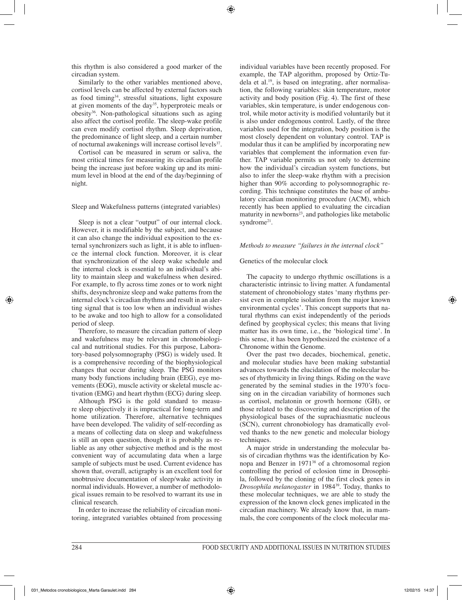this rhythm is also considered a good marker of the circadian system.

Similarly to the other variables mentioned above, cortisol levels can be affected by external factors such as food timing<sup>34</sup>, stressful situations, light exposure at given moments of the day<sup>35</sup>, hyperproteic meals or obesity36. Non-pathological situations such as aging also affect the cortisol profile. The sleep-wake profile can even modify cortisol rhythm. Sleep deprivation, the predominance of light sleep, and a certain number of nocturnal awakenings will increase cortisol levels<sup>37</sup>.

Cortisol can be measured in serum or saliva, the most critical times for measuring its circadian profile being the increase just before waking up and its minimum level in blood at the end of the day/beginning of night.

# Sleep and Wakefulness patterns (integrated variables)

Sleep is not a clear "output" of our internal clock. However, it is modifiable by the subject, and because it can also change the individual exposition to the external synchronizers such as light, it is able to influence the internal clock function. Moreover, it is clear that synchronization of the sleep wake schedule and the internal clock is essential to an individual's ability to maintain sleep and wakefulness when desired. For example, to fly across time zones or to work night shifts, desynchronize sleep and wake patterns from the internal clock's circadian rhythms and result in an alerting signal that is too low when an individual wishes to be awake and too high to allow for a consolidated period of sleep.

Therefore, to measure the circadian pattern of sleep and wakefulness may be relevant in chronobiological and nutritional studies. For this purpose, Laboratory-based polysomnography (PSG) is widely used. It is a comprehensive recording of the biophysiological changes that occur during sleep. The PSG monitors many body functions including brain (EEG), eye movements (EOG), muscle activity or skeletal muscle activation (EMG) and heart rhythm (ECG) during sleep.

Although PSG is the gold standard to measure sleep objectively it is impractical for long-term and home utilization. Therefore, alternative techniques have been developed. The validity of self-recording as a means of collecting data on sleep and wakefulness is still an open question, though it is probably as reliable as any other subjective method and is the most convenient way of accumulating data when a large sample of subjects must be used. Current evidence has shown that, overall, actigraphy is an excellent tool for unobtrusive documentation of sleep/wake activity in normal individuals. However, a number of methodological issues remain to be resolved to warrant its use in clinical research.

In order to increase the reliability of circadian monitoring, integrated variables obtained from processing individual variables have been recently proposed. For example, the TAP algorithm, proposed by Ortiz-Tudela et al.19, is based on integrating, after normalisation, the following variables: skin temperature, motor activity and body position (Fig. 4). The first of these variables, skin temperature, is under endogenous control, while motor activity is modified voluntarily but it is also under endogenous control. Lastly, of the three variables used for the integration, body position is the most closely dependent on voluntary control. TAP is modular thus it can be amplified by incorporating new variables that complement the information even further. TAP variable permits us not only to determine how the individual's circadian system functions, but also to infer the sleep-wake rhythm with a precision higher than 90% according to polysomnographic recording. This technique constitutes the base of ambulatory circadian monitoring procedure (ACM), which recently has been applied to evaluating the circadian maturity in newborns $^{23}$ , and pathologies like metabolic syndrome<sup>21</sup>.

# *Methods to measure "failures in the internal clock"*

# Genetics of the molecular clock

The capacity to undergo rhythmic oscillations is a characteristic intrinsic to living matter. A fundamental statement of chronobiology states 'many rhythms persist even in complete isolation from the major known environmental cycles'. This concept supports that natural rhythms can exist independently of the periods defined by geophysical cycles; this means that living matter has its own time, i.e., the 'biological time'. In this sense, it has been hypothesized the existence of a Chronome within the Genome.

Over the past two decades, biochemical, genetic, and molecular studies have been making substantial advances towards the elucidation of the molecular bases of rhythmicity in living things. Riding on the wave generated by the seminal studies in the 1970's focusing on in the circadian variability of hormones such as cortisol, melatonin or growth hormone (GH), or those related to the discovering and description of the physiological bases of the suprachiasmatic nucleous (SCN), current chronobiology has dramatically evolved thanks to the new genetic and molecular biology techniques.

A major stride in understanding the molecular basis of circadian rhythms was the identification by Konopa and Benzer in 197138 of a chromosomal region controlling the period of eclosion time in Drosophila, followed by the cloning of the first clock genes in *Drosophila melanogaster* in 198439. Today, thanks to these molecular techniques, we are able to study the expression of the known clock genes implicated in the circadian machinery. We already know that, in mammals, the core components of the clock molecular ma-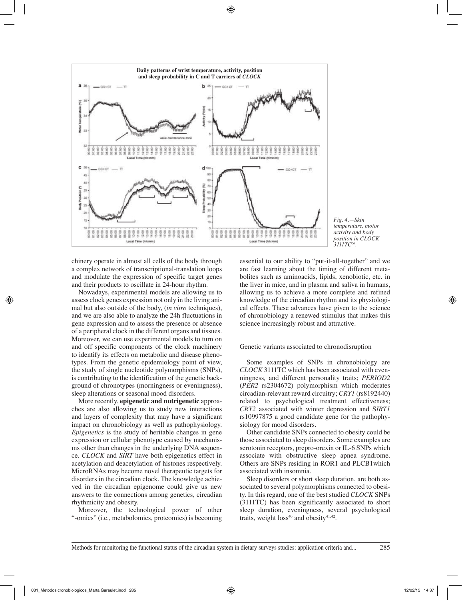

*Fig. 4.—Skin temperature, motor activity and body position in CLOCK 3111TC60.*

chinery operate in almost all cells of the body through a complex network of transcriptional-translation loops and modulate the expression of specific target genes and their products to oscillate in 24-hour rhythm.

Nowadays, experimental models are allowing us to assess clock genes expression not only in the living animal but also outside of the body, (*in vitro* techniques), and we are also able to analyze the 24h fluctuations in gene expression and to assess the presence or absence of a peripheral clock in the different organs and tissues. Moreover, we can use experimental models to turn on and off specific components of the clock machinery to identify its effects on metabolic and disease phenotypes. From the genetic epidemiology point of view, the study of single nucleotide polymorphisms (SNPs), is contributing to the identification of the genetic background of chronotypes (morningness or eveningness), sleep alterations or seasonal mood disorders.

More recently, **epigenetic and nutrigenetic** approaches are also allowing us to study new interactions and layers of complexity that may have a significant impact on chronobiology as well as pathophysiology. *Epigenetics* is the study of heritable changes in gene expression or cellular phenotype caused by mechanisms other than changes in the underlying DNA sequence. *CLOCK* and *SIRT* have both epigenetics effect in acetylation and deacetylation of histones respectively. MicroRNAs may become novel therapeutic targets for disorders in the circadian clock. The knowledge achieved in the circadian epigenome could give us new answers to the connections among genetics, circadian rhythmicity and obesity.

Moreover, the technological power of other "-omics" (i.e., metabolomics, proteomics) is becoming

essential to our ability to "put-it-all-together" and we are fast learning about the timing of different metabolites such as aminoacids, lipids, xenobiotic, etc. in the liver in mice, and in plasma and saliva in humans, allowing us to achieve a more complete and refined knowledge of the circadian rhythm and its physiological effects. These advances have given to the science of chronobiology a renewed stimulus that makes this science increasingly robust and attractive.

Genetic variants associated to chronodisruption

Some examples of SNPs in chronobiology are *CLOCK* 3111TC which has been associated with evenningness*,* and different personality traits; *PERIOD2*  (*PER2* rs2304672) polymorphism which moderates circadian-relevant reward circuitry; *CRY1* (rs8192440) related to psychological treatment effectiveness; *CRY2* associated with winter depression and S*IRT1*  rs10997875 a good candidate gene for the pathophysiology for mood disorders.

Other candidate SNPs connected to obesity could be those associated to sleep disorders. Some examples are serotonin receptors, prepro-orexin or IL-6 SNPs which associate with obstructive sleep apnea syndrome. Others are SNPs residing in ROR1 and PLCB1which associated with insomnia.

Sleep disorders or short sleep duration, are both associated to several polymorphisms connected to obesity. In this regard, one of the best studied *CLOCK* SNPs (3111TC) has been significantly associated to short sleep duration, eveningness, several psychological traits, weight  $loss^{40}$  and obesity<sup>41,42</sup>.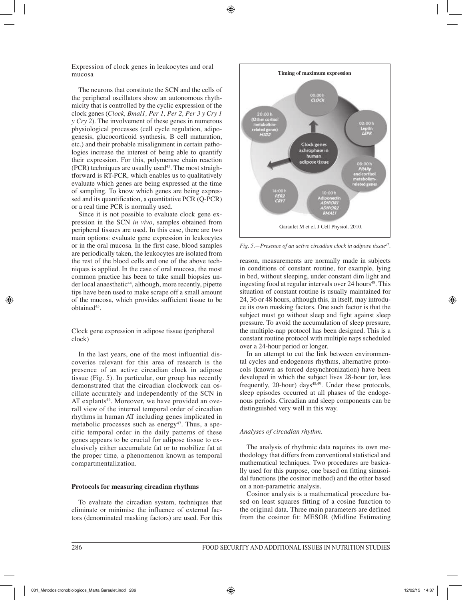Expression of clock genes in leukocytes and oral mucosa

The neurons that constitute the SCN and the cells of the peripheral oscillators show an autonomous rhythmicity that is controlled by the cyclic expression of the clock genes (*Clock, Bmal1, Per 1, Per 2, Per 3 y Cry 1 y Cry 2*). The involvement of these genes in numerous physiological processes (cell cycle regulation, adipogenesis, glucocorticoid synthesis, B cell maturation, etc.) and their probable misalignment in certain pathologies increase the interest of being able to quantify their expression. For this, polymerase chain reaction  $(PCR)$  techniques are usually used<sup>43</sup>. The most straightforward is RT-PCR, which enables us to qualitatively evaluate which genes are being expressed at the time of sampling. To know which genes are being expressed and its quantification, a quantitative PCR (Q-PCR) or a real time PCR is normally used.

Since it is not possible to evaluate clock gene expression in the SCN *in vivo*, samples obtained from peripheral tissues are used. In this case, there are two main options: evaluate gene expression in leukocytes or in the oral mucosa. In the first case, blood samples are periodically taken, the leukocytes are isolated from the rest of the blood cells and one of the above techniques is applied. In the case of oral mucosa, the most common practice has been to take small biopsies under local anaesthetic<sup>44</sup>, although, more recently, pipette tips have been used to make scrape off a small amount of the mucosa, which provides sufficient tissue to be obtained<sup>45</sup>.

Clock gene expression in adipose tissue (peripheral clock)

In the last years, one of the most influential discoveries relevant for this area of research is the presence of an active circadian clock in adipose tissue (Fig. 5). In particular, our group has recently demonstrated that the circadian clockwork can oscillate accurately and independently of the SCN in AT explants<sup>46</sup>. Moreover, we have provided an overall view of the internal temporal order of circadian rhythms in human AT including genes implicated in metabolic processes such as energy<sup>47</sup>. Thus, a specific temporal order in the daily patterns of these genes appears to be crucial for adipose tissue to exclusively either accumulate fat or to mobilize fat at the proper time, a phenomenon known as temporal compartmentalization.

#### **Protocols for measuring circadian rhythms**

To evaluate the circadian system, techniques that eliminate or minimise the influence of external factors (denominated masking factors) are used. For this



*Fig. 5.—Presence of an active circadian clock in adipose tissue47.* 

reason, measurements are normally made in subjects in conditions of constant routine, for example, lying in bed, without sleeping, under constant dim light and ingesting food at regular intervals over  $24$  hours<sup>48</sup>. This situation of constant routine is usually maintained for 24, 36 or 48 hours, although this, in itself, may introduce its own masking factors. One such factor is that the subject must go without sleep and fight against sleep pressure. To avoid the accumulation of sleep pressure, the multiple-nap protocol has been designed. This is a constant routine protocol with multiple naps scheduled over a 24-hour period or longer.

In an attempt to cut the link between environmental cycles and endogenous rhythms, alternative protocols (known as forced desynchronization) have been developed in which the subject lives 28-hour (or, less frequently, 20-hour) days<sup>48,49</sup>. Under these protocols, sleep episodes occurred at all phases of the endogenous periods. Circadian and sleep components can be distinguished very well in this way.

# *Analyses of circadian rhythm.*

The analysis of rhythmic data requires its own methodology that differs from conventional statistical and mathematical techniques. Two procedures are basically used for this purpose, one based on fitting sinusoidal functions (the cosinor method) and the other based on a non-parametric analysis.

Cosinor analysis is a mathematical procedure based on least squares fitting of a cosine function to the original data. Three main parameters are defined from the cosinor fit: MESOR (Midline Estimating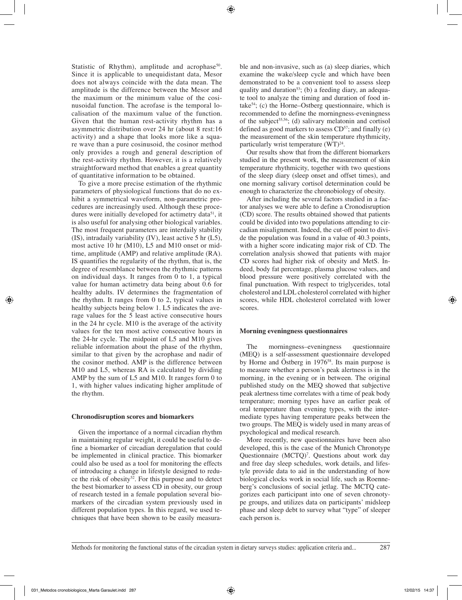Statistic of Rhythm), amplitude and acrophase<sup>50</sup>. Since it is applicable to unequidistant data, Mesor does not always coincide with the data mean. The amplitude is the difference between the Mesor and the maximum or the minimum value of the cosinusoidal function. The acrofase is the temporal localisation of the maximum value of the function. Given that the human rest-activity rhythm has a asymmetric distribution over 24 hr (about 8 rest:16 activity) and a shape that looks more like a square wave than a pure cosinusoid, the cosinor method only provides a rough and general description of the rest-activity rhythm. However, it is a relatively straightforward method that enables a great quantity of quantitative information to be obtained.

To give a more precise estimation of the rhythmic parameters of physiological functions that do no exhibit a symmetrical waveform, non-parametric procedures are increasingly used. Although these procedures were initially developed for actimetry data<sup>51</sup>, it is also useful for analysing other biological variables. The most frequent parameters are interdaily stability (IS), intradaily variability (IV), least active 5 hr (L5), most active 10 hr (M10), L5 and M10 onset or midtime, amplitude (AMP) and relative amplitude (RA). IS quantifies the regularity of the rhythm, that is, the degree of resemblance between the rhythmic patterns on individual days. It ranges from 0 to 1, a typical value for human actimetry data being about 0.6 for healthy adults. IV determines the fragmentation of the rhythm. It ranges from 0 to 2, typical values in healthy subjects being below 1. L5 indicates the average values for the 5 least active consecutive hours in the 24 hr cycle. M10 is the average of the activity values for the ten most active consecutive hours in the 24-hr cycle. The midpoint of L5 and M10 gives reliable information about the phase of the rhythm, similar to that given by the acrophase and nadir of the cosinor method. AMP is the difference between M10 and L5, whereas RA is calculated by dividing AMP by the sum of L5 and M10. It ranges form 0 to 1, with higher values indicating higher amplitude of the rhythm.

#### **Chronodisruption scores and biomarkers**

Given the importance of a normal circadian rhythm in maintaining regular weight, it could be useful to define a biomarker of circadian deregulation that could be implemented in clinical practice. This biomarker could also be used as a tool for monitoring the effects of introducing a change in lifestyle designed to reduce the risk of obesity<sup>52</sup>. For this purpose and to detect the best biomarker to assess CD in obesity, our group of research tested in a female population several biomarkers of the circadian system previously used in different population types. In this regard, we used techniques that have been shown to be easily measurable and non-invasive, such as (a) sleep diaries, which examine the wake/sleep cycle and which have been demonstrated to be a convenient tool to assess sleep quality and duration<sup>53</sup>; (b) a feeding diary, an adequate tool to analyze the timing and duration of food intake<sup>54</sup>; (c) the Horne–Ostberg questionnaire, which is recommended to define the morningness-eveningness of the subject<sup>55,56</sup>; (d) salivary melatonin and cortisol defined as good markers to assess  $CD<sup>57</sup>$ ; and finally (e) the measurement of the skin temperature rhythmicity, particularly wrist temperature  $(WT)^{24}$ .

Our results show that from the different biomarkers studied in the present work, the measurement of skin temperature rhythmicity, together with two questions of the sleep diary (sleep onset and offset times), and one morning salivary cortisol determination could be enough to characterize the chronobiology of obesity.

After including the several factors studied in a factor analyses we were able to define a Cronodisruption (CD) score. The results obtained showed that patients could be divided into two populations attending to circadian misalignment. Indeed, the cut-off point to divide the population was found in a value of 40.3 points, with a higher score indicating major risk of CD. The correlation analysis showed that patients with major CD scores had higher risk of obesity and MetS. Indeed, body fat percentage, plasma glucose values, and blood pressure were positively correlated with the final punctuation. With respect to triglycerides, total cholesterol and LDL cholesterol correlated with higher scores, while HDL cholesterol correlated with lower scores.

# **Morning eveningness questionnaires**

The morningness–eveningness questionnaire (MEQ) is a self-assessment questionnaire developed by Horne and Östberg in 1976<sup>58</sup>. Its main purpose is to measure whether a person's peak alertness is in the morning, in the evening or in between. The original published study on the MEQ showed that subjective peak alertness time correlates with a time of peak body temperature; morning types have an earlier peak of oral temperature than evening types, with the intermediate types having temperature peaks between the two groups. The MEQ is widely used in many areas of psychological and medical research.

More recently, new questionnaires have been also developed, this is the case of the Munich Chronotype Questionnaire (MCTQ)<sup>7</sup>. Questions about work day and free day sleep schedules, work details, and lifestyle provide data to aid in the understanding of how biological clocks work in social life, such as Roenneberg's conclusions of social jetlag. The MCTQ categorizes each participant into one of seven chronotype groups, and utilizes data on participants' midsleep phase and sleep debt to survey what "type" of sleeper each person is.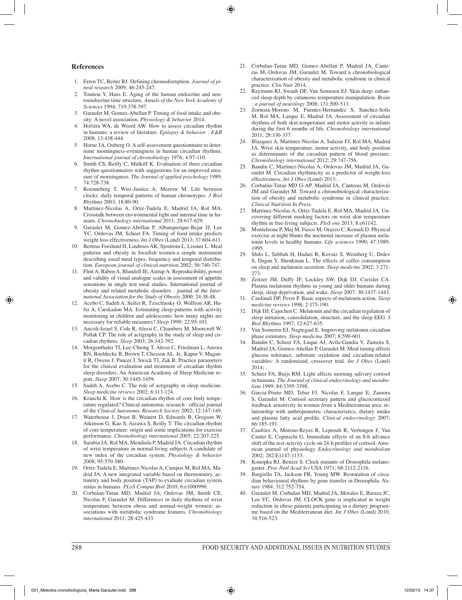#### **References**

- 1. Erren TC, Reiter RJ. Defining chronodisruption. *Journal of pineal research* 2009; 46:245-247.
- 2. Touitou Y, Haus E. Aging of the human endocrine and neuroendocrine time structure. *Annals of the New York Academy of Sciences* 1994; 719:378-397.
- 3. Garaulet M, Gomez-Abellan P. Timing of food intake and obesity: A novel association. *Physiology & behavior* 2014.
- 4. Hofstra WA, de Weerd AW. How to assess circadian rhythm in humans: a review of literature. *Epilepsy & behavior : E&B*  2008; 13:438-444.
- 5. Horne JA, Ostberg O. A self-assessment questionnaire to determine morningness-eveningness in human circadian rhythms. *International journal of chronobiology* 1976; 4:97-110.
- 6. Smith CS, Reilly C, Midkiff K. Evaluation of three circadian rhythm questionnaires with suggestions for an improved measure of morningness. *The Journal of applied psychology* 1989; 74:728-738.
- 7. Roenneberg T, Wirz-Justice A, Merrow M. Life between clocks: daily temporal patterns of human chronotypes. *J Biol Rhythms* 2003; 18:80-90.
- 8. Martinez-Nicolas A, Ortiz-Tudela E, Madrid JA, Rol MA. Crosstalk between environmental light and internal time in humans. *Chronobiology international* 2011; 28:617-629.
- 9. Garaulet M, Gomez-Abellan P, Alburquerque-Bejar JJ, Lee YC, Ordovas JM, Scheer FA. Timing of food intake predicts weight loss effectiveness. *Int J Obes* (Lond) 2013; 37:604-611.
- 10. Berteus Forslund H, Lindroos AK, Sjostrom L, Lissner L. Meal patterns and obesity in Swedish women-a simple instrument describing usual meal types, frequency and temporal distribution. *European journal of clinical nutrition* 2002; 56:740-747.
- 11. Flint A, Raben A, Blundell JE, Astrup A. Reproducibility, power and validity of visual analogue scales in assessment of appetite sensations in single test meal studies. International journal of obesity and related metabolic disorders : journal of the *International Association for the Study of Obesity* 2000; 24:38-48.
- 12. Acebo C, Sadeh A, Seifer R, Tzischinsky O, Wolfson AR, Hafer A, Carskadon MA. Estimating sleep patterns with activity monitoring in children and adolescents: how many nights are necessary for reliable measures? *Sleep* 1999; 22:95-103.
- 13. Ancoli-Israel S, Cole R, Alessi C, Chambers M, Moorcroft W, Pollak CP. The role of actigraphy in the study of sleep and circadian rhythms. *Sleep* 2003; 26:342-392.
- 14. Morgenthaler TI, Lee-Chiong T, Alessi C, Friedman L, Aurora RN, Boehlecke B, Brown T, Chesson AL, Jr., Kapur V, Maganti R, Owens J, Pancer J, Swick TJ, Zak R. Practice parameters for the clinical evaluation and treatment of circadian rhythm sleep disorders. An American Academy of Sleep Medicine report. *Sleep* 2007; 30:1445-1459.
- 15. Sadeh A, Acebo C. The role of actigraphy in sleep medicine. *Sleep medicine reviews* 2002; 6:113-124.
- 16. Krauchi K. How is the circadian rhythm of core body temperature regulated? Clinical autonomic research : official journal of the *Clinical Autonomic Research Society* 2002; 12:147-149.
- 17. Waterhouse J, Drust B, Weinert D, Edwards B, Gregson W, Atkinson G, Kao S, Aizawa S, Reilly T. The circadian rhythm of core temperature: origin and some implications for exercise performance. *Chronobiology international* 2005; 22:207-225.
- 18. Sarabia JA, Rol MA, Mendiola P, Madrid JA. Circadian rhythm of wrist temperature in normal-living subjects A candidate of new index of the circadian system. *Physiology & behavior*  2008; 95:570-580.
- 19. Ortiz-Tudela E, Martinez-Nicolas A, Campos M, Rol MA, Madrid JA. A new integrated variable based on thermometry, actimetry and body position (TAP) to evaluate circadian system status in humans. *PLoS Comput Biol* 2010; 6:e1000996.
- 20. Corbalan-Tutau MD, Madrid JA, Ordovas JM, Smith CE, Nicolas F, Garaulet M. Differences in daily rhythms of wrist temperature between obese and normal-weight women: associations with metabolic syndrome features. *Chronobiology international* 2011; 28:425-433.
- 21. Corbalan-Tutau MD, Gomez-Abellan P, Madrid JA, Canteras M, Ordovas JM, Garaulet M. Toward a chronobiological characterization of obesity and metabolic syndrome in clinical practice. *Clin Nutr* 2014;
- 22. Raymann RJ, Swaab DF, Van Someren EJ. Skin deep: enhanced sleep depth by cutaneous temperature manipulation. *Brain : a journal of neurology* 2008; 131:500-513.
- 23. Zornoza-Moreno M, Fuentes-Hernandez S, Sanchez-Solis M, Rol MA, Larque E, Madrid JA. Assessment of circadian rhythms of both skin temperature and motor activity in infants during the first 6 months of life. *Chronobiology international*  2011; 28:330-337.
- 24. Blazquez A, Martinez-Nicolas A, Salazar FJ, Rol MA, Madrid JA. Wrist skin temperature, motor activity, and body position as determinants of the circadian pattern of blood pressure. *Chronobiology international* 2012; 29:747-756.
- 25. Bandin C, Martinez-Nicolas A, Ordovas JM, Madrid JA, Garaulet M. Circadian rhythmicity as a predictor of weight-loss effectiveness. *Int J Obes* (Lond) 2013; .
- 26. Corbalán-Tutau MD G-AP, Madrid JA, Canteras M, Ordovás JM and Garaulet M. Toward a chronobiological characterization of obesity and metabolic syndrome in clinical practice. *Clinical Nutrition In Press*.
- 27. Martinez-Nicolas A, Ortiz-Tudela E, Rol MA, Madrid JA. Uncovering different masking factors on wrist skin temperature rhythm in free-living subjects. *PloS one* 2013; 8:e61142.
- 28. Monteleone P, Maj M, Fusco M, Orazzo C, Kemali D. Physical exercise at night blunts the nocturnal increase of plasma melatonin levels in healthy humans. *Life sciences* 1990; 47:1989- 1995.
- 29. Shilo L, Sabbah H, Hadari R, Kovatz S, Weinberg U, Dolev S, Dagan Y, Shenkman L. The effects of coffee consumption on sleep and melatonin secretion. *Sleep medicine* 2002; 3:271- 273.
- 30. Zeitzer JM, Duffy JF, Lockley SW, Dijk DJ, Czeisler CA. Plasma melatonin rhythms in young and older humans during sleep, sleep deprivation, and wake. *Sleep* 2007; 30:1437-1443.
- 31. Cardinali DP, Pevet P. Basic aspects of melatonin action. *Sleep medicine reviews* 1998; 2:175-190.
- 32. Dijk DJ, Cajochen C. Melatonin and the circadian regulation of sleep initiation, consolidation, structure, and the sleep EEG. J *Biol Rhythms* 1997; 12:627-635.
- 33. Van Someren EJ, Nagtegaal E. Improving melatonin circadian phase estimates. *Sleep medicine* 2007; 8:590-601.
- Bandin C, Scheer FA, Luque AJ, Avila-Gandia V, Zamora S, Madrid JA, Gomez-Abellan P, Garaulet M. Meal timing affects glucose tolerance, substrate oxidation and circadian-related variables: A randomized, crossover trial. *Int J Obes* (Lond) 2014; .
- 35. Scheer FA, Buijs RM. Light affects morning salivary cortisol in humans. *The Journal of clinical endocrinology and metabolism* 1999; 84:3395-3398.
- 36. Garcia-Prieto MD, Tebar FJ, Nicolas F, Larque E, Zamora S, Garaulet M. Cortisol secretary pattern and glucocorticoid feedback sensitivity in women from a Mediterranean area: relationship with anthropometric characteristics, dietary intake and plasma fatty acid profile. *Clinical endocrinology* 2007; 66:185-191.
- 37. Caufriez A, Moreno-Reyes R, Leproult R, Vertongen F, Van Cauter E, Copinschi G. Immediate effects of an 8-h advance shift of the rest-activity cycle on 24-h profiles of cortisol. American journal of physiology *Endocrinology and metabolism*  2002; 282:E1147-1153.
- 38. Konopka RJ, Benzer S. Clock mutants of Drosophila melanogaster. *Proc Natl Acad Sci* USA 1971; 68:2112-2116.
- 39. Bargiello TA, Jackson FR, Young MW. Restoration of circadian behavioural rhythms by gene transfer in Drosophila. *Nature* 1984; 312:752-754.
- 40. Garaulet M, Corbalan MD, Madrid JA, Morales E, Baraza JC, Lee YC, Ordovas JM. CLOCK gene is implicated in weight reduction in obese patients participating in a dietary programme based on the Mediterranean diet. *Int J Obes* (Lond) 2010; 34:516-523.